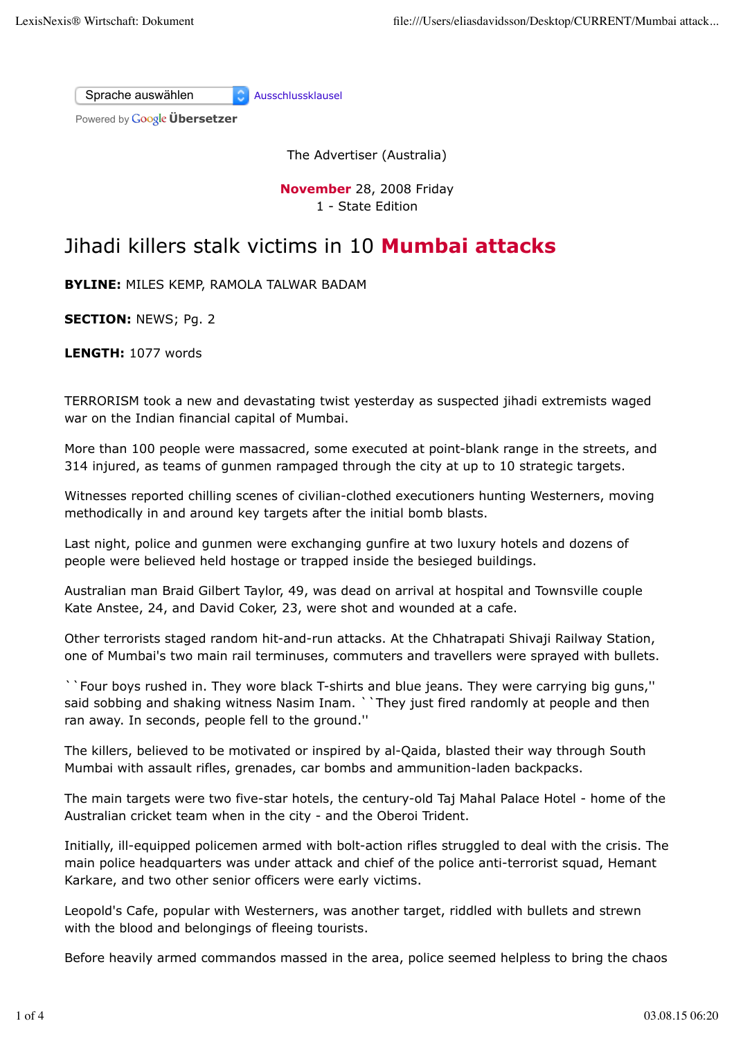Sprache auswählen Ausschlussklausel

Powered by **Google Übersetzer** 

The Advertiser (Australia)

**November** 28, 2008 Friday 1 - State Edition

## Jihadi killers stalk victims in 10 **Mumbai attacks**

**BYLINE:** MILES KEMP, RAMOLA TALWAR BADAM

**SECTION:** NEWS; Pg. 2

**LENGTH:** 1077 words

TERRORISM took a new and devastating twist yesterday as suspected jihadi extremists waged war on the Indian financial capital of Mumbai.

More than 100 people were massacred, some executed at point-blank range in the streets, and 314 injured, as teams of gunmen rampaged through the city at up to 10 strategic targets.

Witnesses reported chilling scenes of civilian-clothed executioners hunting Westerners, moving methodically in and around key targets after the initial bomb blasts.

Last night, police and gunmen were exchanging gunfire at two luxury hotels and dozens of people were believed held hostage or trapped inside the besieged buildings.

Australian man Braid Gilbert Taylor, 49, was dead on arrival at hospital and Townsville couple Kate Anstee, 24, and David Coker, 23, were shot and wounded at a cafe.

Other terrorists staged random hit-and-run attacks. At the Chhatrapati Shivaji Railway Station, one of Mumbai's two main rail terminuses, commuters and travellers were sprayed with bullets.

``Four boys rushed in. They wore black T-shirts and blue jeans. They were carrying big guns,'' said sobbing and shaking witness Nasim Inam. ``They just fired randomly at people and then ran away. In seconds, people fell to the ground.''

The killers, believed to be motivated or inspired by al-Qaida, blasted their way through South Mumbai with assault rifles, grenades, car bombs and ammunition-laden backpacks.

The main targets were two five-star hotels, the century-old Taj Mahal Palace Hotel - home of the Australian cricket team when in the city - and the Oberoi Trident.

Initially, ill-equipped policemen armed with bolt-action rifles struggled to deal with the crisis. The main police headquarters was under attack and chief of the police anti-terrorist squad, Hemant Karkare, and two other senior officers were early victims.

Leopold's Cafe, popular with Westerners, was another target, riddled with bullets and strewn with the blood and belongings of fleeing tourists.

Before heavily armed commandos massed in the area, police seemed helpless to bring the chaos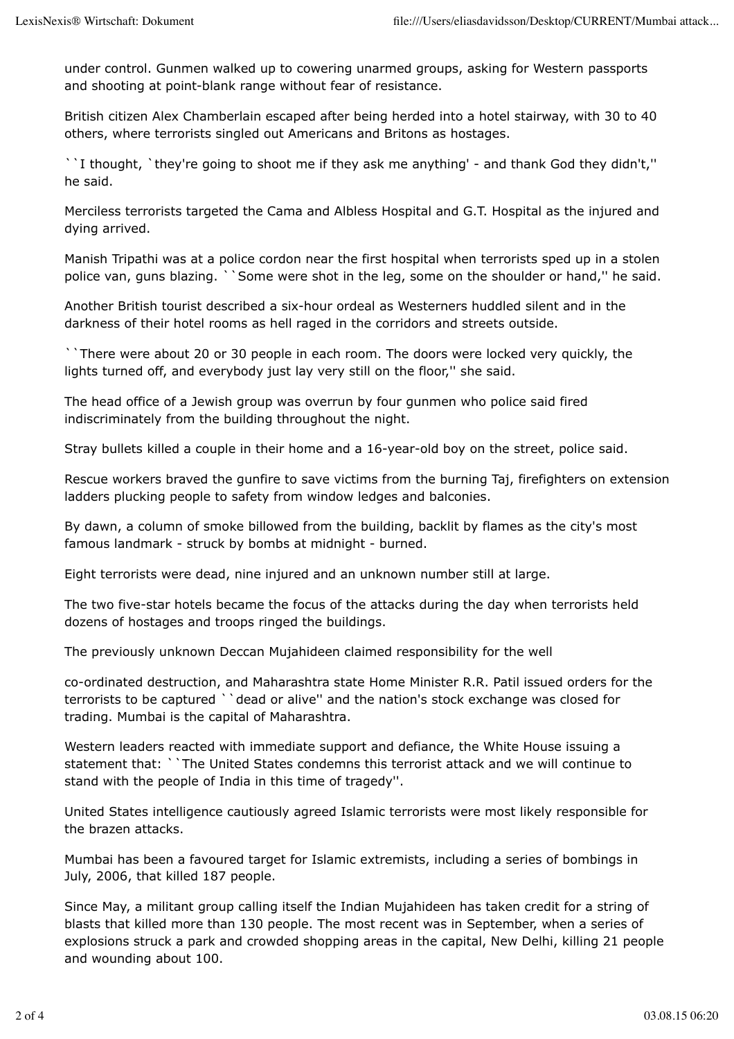under control. Gunmen walked up to cowering unarmed groups, asking for Western passports and shooting at point-blank range without fear of resistance.

British citizen Alex Chamberlain escaped after being herded into a hotel stairway, with 30 to 40 others, where terrorists singled out Americans and Britons as hostages.

``I thought, `they're going to shoot me if they ask me anything' - and thank God they didn't,'' he said.

Merciless terrorists targeted the Cama and Albless Hospital and G.T. Hospital as the injured and dying arrived.

Manish Tripathi was at a police cordon near the first hospital when terrorists sped up in a stolen police van, guns blazing. ``Some were shot in the leg, some on the shoulder or hand,'' he said.

Another British tourist described a six-hour ordeal as Westerners huddled silent and in the darkness of their hotel rooms as hell raged in the corridors and streets outside.

``There were about 20 or 30 people in each room. The doors were locked very quickly, the lights turned off, and everybody just lay very still on the floor,'' she said.

The head office of a Jewish group was overrun by four gunmen who police said fired indiscriminately from the building throughout the night.

Stray bullets killed a couple in their home and a 16-year-old boy on the street, police said.

Rescue workers braved the gunfire to save victims from the burning Taj, firefighters on extension ladders plucking people to safety from window ledges and balconies.

By dawn, a column of smoke billowed from the building, backlit by flames as the city's most famous landmark - struck by bombs at midnight - burned.

Eight terrorists were dead, nine injured and an unknown number still at large.

The two five-star hotels became the focus of the attacks during the day when terrorists held dozens of hostages and troops ringed the buildings.

The previously unknown Deccan Mujahideen claimed responsibility for the well

co-ordinated destruction, and Maharashtra state Home Minister R.R. Patil issued orders for the terrorists to be captured ``dead or alive'' and the nation's stock exchange was closed for trading. Mumbai is the capital of Maharashtra.

Western leaders reacted with immediate support and defiance, the White House issuing a statement that: ``The United States condemns this terrorist attack and we will continue to stand with the people of India in this time of tragedy''.

United States intelligence cautiously agreed Islamic terrorists were most likely responsible for the brazen attacks.

Mumbai has been a favoured target for Islamic extremists, including a series of bombings in July, 2006, that killed 187 people.

Since May, a militant group calling itself the Indian Mujahideen has taken credit for a string of blasts that killed more than 130 people. The most recent was in September, when a series of explosions struck a park and crowded shopping areas in the capital, New Delhi, killing 21 people and wounding about 100.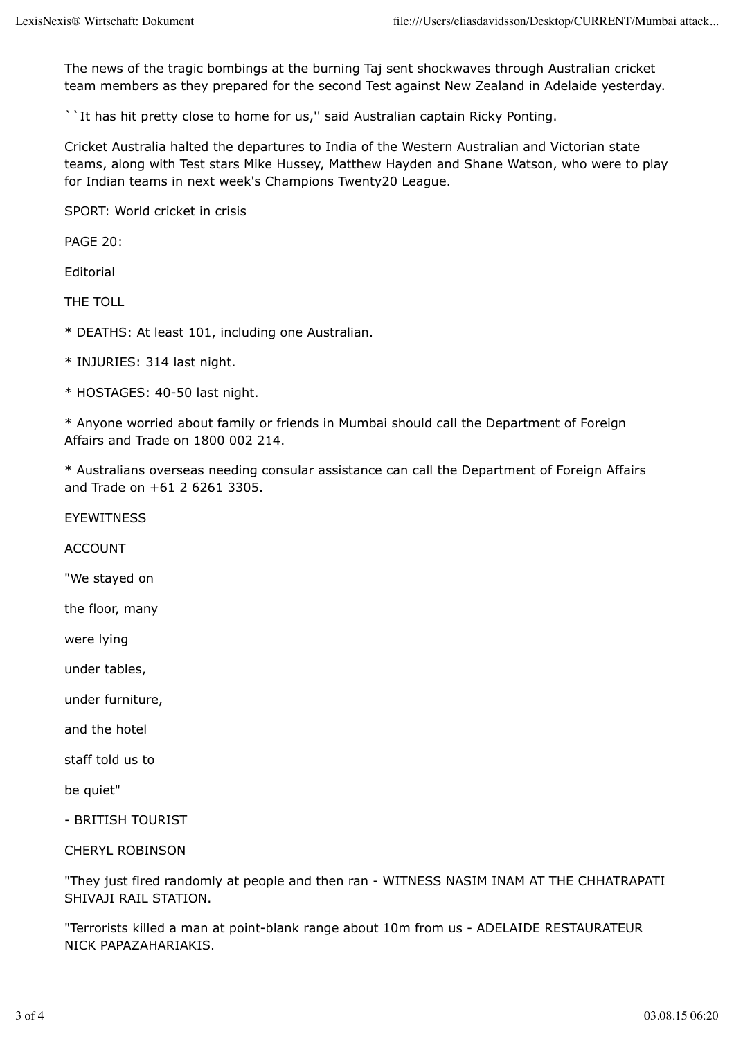The news of the tragic bombings at the burning Taj sent shockwaves through Australian cricket team members as they prepared for the second Test against New Zealand in Adelaide yesterday.

``It has hit pretty close to home for us,'' said Australian captain Ricky Ponting.

Cricket Australia halted the departures to India of the Western Australian and Victorian state teams, along with Test stars Mike Hussey, Matthew Hayden and Shane Watson, who were to play for Indian teams in next week's Champions Twenty20 League.

SPORT: World cricket in crisis

PAGE 20:

Editorial

THE TOLL

\* DEATHS: At least 101, including one Australian.

- \* INJURIES: 314 last night.
- \* HOSTAGES: 40-50 last night.

\* Anyone worried about family or friends in Mumbai should call the Department of Foreign Affairs and Trade on 1800 002 214.

\* Australians overseas needing consular assistance can call the Department of Foreign Affairs and Trade on +61 2 6261 3305.

EYEWITNESS

ACCOUNT

"We stayed on

the floor, many

were lying

under tables,

under furniture,

and the hotel

staff told us to

be quiet"

- BRITISH TOURIST

CHERYL ROBINSON

"They just fired randomly at people and then ran - WITNESS NASIM INAM AT THE CHHATRAPATI SHIVAJI RAIL STATION.

"Terrorists killed a man at point-blank range about 10m from us - ADELAIDE RESTAURATEUR NICK PAPAZAHARIAKIS.